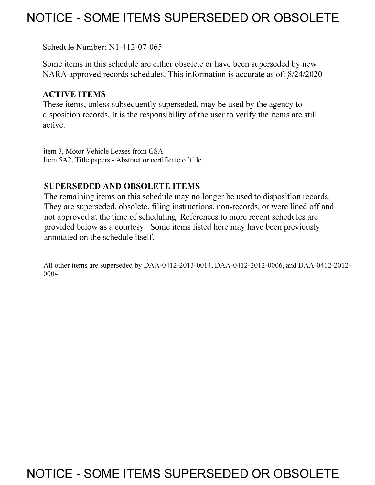# **NOTICE - SOME ITEMS SUPERSEDED OR OBSOLETE**

Schedule Number: Nl-412-07-065

Some items in this schedule are either obsolete or have been superseded by new NARA approved records schedules. This information is accurate as of: 8/24/2020

# **ACTIVE ITEMS**

These items, unless subsequently superseded, may be used by the agency to disposition records. It is the responsibility of the user to verify the items are still active.

item 3, Motor Vehicle Leases from GSA Item 5A2, Title papers - Abstract or certificate of title

# **SUPERSEDED AND OBSOLETE ITEMS**

The remaining items on this schedule may no longer be used to disposition records. They are superseded, obsolete, filing instructions, non-records, or were lined off and not approved at the time of scheduling. References to more recent schedules are provided below as a courtesy. Some items listed here may have been previously annotated on the schedule itself.

All other items are superseded by DAA-0412-2013-0014, DAA-0412-2012-0006, and DAA-0412-2012- 0004.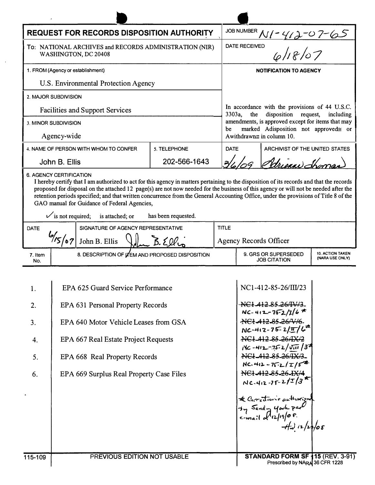| <b>REQUEST FOR RECORDS DISPOSITION AUTHORITY</b>                               |                                          |                                                                                                                                                                                                                                                                                                                                                |                     |              | JOB NUMBER                                                                                                                                                                                              |                                                                         |                                     |  |
|--------------------------------------------------------------------------------|------------------------------------------|------------------------------------------------------------------------------------------------------------------------------------------------------------------------------------------------------------------------------------------------------------------------------------------------------------------------------------------------|---------------------|--------------|---------------------------------------------------------------------------------------------------------------------------------------------------------------------------------------------------------|-------------------------------------------------------------------------|-------------------------------------|--|
| To: NATIONAL ARCHIVES and RECORDS ADMINISTRATION (NIR)<br>WASHINGTON, DC 20408 |                                          |                                                                                                                                                                                                                                                                                                                                                |                     |              | <u>NI-412-07-65</u><br>ED 6/18/07<br><b>DATE RECEIVED</b>                                                                                                                                               |                                                                         |                                     |  |
| 1. FROM (Agency or establishment)                                              |                                          |                                                                                                                                                                                                                                                                                                                                                |                     |              | <b>NOTIFICATION TO AGENCY</b>                                                                                                                                                                           |                                                                         |                                     |  |
| U.S. Environmental Protection Agency                                           |                                          |                                                                                                                                                                                                                                                                                                                                                |                     |              |                                                                                                                                                                                                         |                                                                         |                                     |  |
|                                                                                | 2. MAJOR SUBDIVISION                     |                                                                                                                                                                                                                                                                                                                                                |                     |              |                                                                                                                                                                                                         |                                                                         |                                     |  |
| <b>Facilities and Support Services</b>                                         |                                          |                                                                                                                                                                                                                                                                                                                                                |                     |              | In accordance with the provisions of 44 U.S.C.<br>3303a,<br>disposition request,<br>the<br>including<br>amendments, is approved except for items that may<br>marked Adisposition not approved≅ or<br>be |                                                                         |                                     |  |
| 3. MINOR SUBDIVISION                                                           |                                          |                                                                                                                                                                                                                                                                                                                                                |                     |              |                                                                                                                                                                                                         |                                                                         |                                     |  |
| Agency-wide                                                                    |                                          |                                                                                                                                                                                                                                                                                                                                                |                     |              | Awithdrawn $\equiv$ in column 10.                                                                                                                                                                       |                                                                         |                                     |  |
| 4. NAME OF PERSON WITH WHOM TO CONFER                                          |                                          |                                                                                                                                                                                                                                                                                                                                                | 5. TELEPHONE        | <b>DATE</b>  |                                                                                                                                                                                                         | ARCHIVIST OF THE UNITED STATES                                          |                                     |  |
| John B. Ellis                                                                  |                                          |                                                                                                                                                                                                                                                                                                                                                | 202-566-1643        |              |                                                                                                                                                                                                         | Adrienne Shome                                                          |                                     |  |
|                                                                                | $\checkmark$ is not required;            | proposed for disposal on the attached 12 page(s) are not now needed for the business of this agency or will not be needed after the<br>retention periods specified; and that written concurrence from the General Accounting Office, under the provisions of Title 8 of the<br>GAO manual for Guidance of Federal Agencies,<br>is attached; or | has been requested. |              |                                                                                                                                                                                                         |                                                                         |                                     |  |
| SIGNATURE OF AGENCY REPRESENTATIVE<br><b>DATE</b>                              |                                          |                                                                                                                                                                                                                                                                                                                                                |                     | <b>TITLE</b> |                                                                                                                                                                                                         |                                                                         |                                     |  |
| $\frac{1}{567}$<br>John B. Ellis                                               |                                          |                                                                                                                                                                                                                                                                                                                                                | B.Ellu              |              | <b>Agency Records Officer</b>                                                                                                                                                                           |                                                                         |                                     |  |
| 7. Item<br>No.                                                                 |                                          | 8. DESCRIPTION OF <b>ITEM AND PROPOSED DISPOSITION</b>                                                                                                                                                                                                                                                                                         |                     |              |                                                                                                                                                                                                         | 9. GRS OR SUPERSEDED<br><b>JOB CITATION</b>                             | 10. ACTION TAKEN<br>(NARA USE ONLY) |  |
|                                                                                |                                          |                                                                                                                                                                                                                                                                                                                                                |                     |              |                                                                                                                                                                                                         |                                                                         |                                     |  |
| 1.                                                                             | EPA 625 Guard Service Performance        |                                                                                                                                                                                                                                                                                                                                                |                     |              |                                                                                                                                                                                                         | NC1-412-85-26/III/23                                                    |                                     |  |
| 2.                                                                             | EPA 631 Personal Property Records        |                                                                                                                                                                                                                                                                                                                                                |                     |              |                                                                                                                                                                                                         | · <del>NC1-412-85-26/IV/3</del> -<br>$NC-412-75-2/7/6$                  |                                     |  |
| 3.                                                                             |                                          | EPA 640 Motor Vehicle Leases from GSA                                                                                                                                                                                                                                                                                                          |                     |              |                                                                                                                                                                                                         | NC1-412-85-26/V/6-                                                      |                                     |  |
| 4.                                                                             |                                          | EPA 667 Real Estate Project Requests                                                                                                                                                                                                                                                                                                           |                     |              |                                                                                                                                                                                                         | $NC-412-75-2/\pi/6^{22}$<br>NC1 412 85 26 X 2                           |                                     |  |
|                                                                                |                                          |                                                                                                                                                                                                                                                                                                                                                |                     |              |                                                                                                                                                                                                         | $Nc - 412 - 75 - 2/\sqrt{111}/3^2$                                      |                                     |  |
| 5.                                                                             |                                          | EPA 668 Real Property Records                                                                                                                                                                                                                                                                                                                  |                     |              |                                                                                                                                                                                                         | NC1-412-85-26/IX/3-<br>$NC.412 - 75 - 2/T/5^{-2}$                       |                                     |  |
|                                                                                | EPA 669 Surplus Real Property Case Files |                                                                                                                                                                                                                                                                                                                                                |                     |              |                                                                                                                                                                                                         | NC1-412-85-26-IX/4                                                      |                                     |  |
| 6.                                                                             |                                          |                                                                                                                                                                                                                                                                                                                                                |                     |              |                                                                                                                                                                                                         |                                                                         |                                     |  |
|                                                                                |                                          |                                                                                                                                                                                                                                                                                                                                                |                     |              |                                                                                                                                                                                                         | $NC-412-75-2/5/3$ *                                                     |                                     |  |
|                                                                                |                                          |                                                                                                                                                                                                                                                                                                                                                |                     |              |                                                                                                                                                                                                         |                                                                         |                                     |  |
|                                                                                |                                          |                                                                                                                                                                                                                                                                                                                                                |                     |              |                                                                                                                                                                                                         |                                                                         |                                     |  |
|                                                                                |                                          |                                                                                                                                                                                                                                                                                                                                                |                     |              |                                                                                                                                                                                                         | te Correctionie authorized<br>37 Send - York part<br>e-mail of 12/19/08 |                                     |  |
|                                                                                |                                          |                                                                                                                                                                                                                                                                                                                                                |                     |              |                                                                                                                                                                                                         |                                                                         |                                     |  |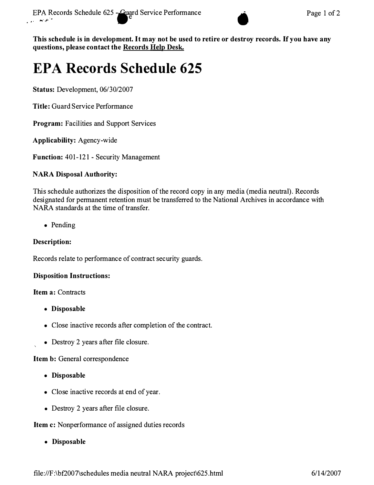

**This schedule is in development. It may not be used to retire or destroy records. If you have any questions, please contact the Records Help Desk.** 

# **EPA Records Schedule 625**

**Status:** Development, 06/30/2007

**Title:** Guard Service Performance

**Program:** Facilities and Support Services

**Applicability:** Agency-wide

**Function:** 401-121 - Security Management

# **NARA Disposal Authority:**

This schedule authorizes the disposition of the record copy in any media (media neutral). Records designated for permanent retention must be transferred to the National Archives in accordance with NARA standards at the time of transfer.

• Pending

# **Description:**

Records relate to performance of contract security guards.

# **Disposition Instructions:**

# **Item a: Contracts**

- **Disposable**
- Close inactive records after completion of the contract.
- Destroy 2 years after file closure.

**Item b:** General correspondence

- **Disposable**
- Close inactive records at end of year.
- Destroy 2 years after file closure.

# **Item c:** Nonperformance of assigned duties records

**• Disposable**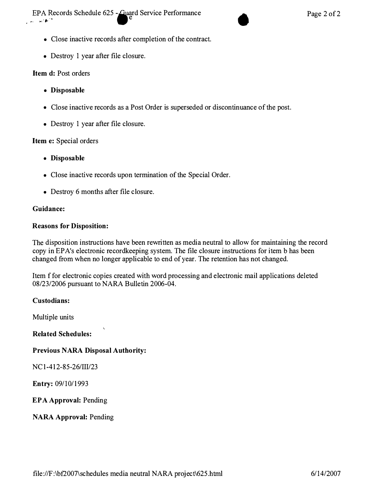$\mathbf{r} = \mathbf{w}^T \mathbf{h}^T$ EPA Records Schedule 625 - Guard Service Performance Suard Service Performance Page 2 of 2



- Close inactive records after completion of the contract.
- Destroy 1 year after file closure.

### **Item d:** Post orders

- **Disposable**
- Close inactive records as a Post Order is superseded or discontinuance of the post.
- Destroy 1 year after file closure.

### **Item e:** Special orders

- **Disposable**
- Close inactive records upon termination of the Special Order.
- Destroy 6 months after file closure.

### **Guidance:**

### **Reasons for Disposition:**

The disposition instructions have been rewritten as media neutral to allow for maintaining the record copy in EP A's electronic recordkeeping system. The file closure instructions for item b has been changed from when no longer applicable to end of year. The retention has not changed.

Item f for electronic copies created with word processing and electronic mail applications deleted 08/23/2006 pursuant to NARA Bulletin 2006-04.

### **Custodians:**

Multiple units

**Related Schedules:** 

# **Previous NARA Disposal Authority:**

NC 1-412-85-26/III/23

**Entry:** 09/10/1993

**EPA Approval:** Pending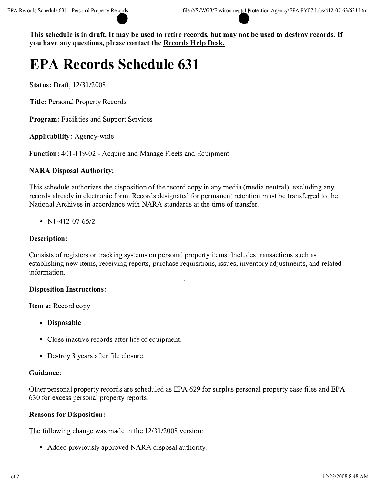# **EPA Records Schedule 631**

**Status:** Draft, 12/31/2008

**Title:** Personal Property Records

**Program:** Facilities and Support Services

**Applicability:** Agency-wide

**Function:** 401-119-02 - Acquire and Manage Fleets and Equipment

### **NARA Disposal Authority:**

This schedule authorizes the disposition of the record copy in any media (media neutral), excluding any records already in electronic form. Records designated for permanent retention must be transferred to the National Archives in accordance with NARA standards at the time of transfer.

•  $N1-412-07-65/2$ 

### **Description:**

Consists of registers or tracking systems on personal property items. Includes transactions such as establishing new items, receiving reports, purchase requisitions, issues, inventory adjustments, and related information.

### **Disposition Instructions:**

**Item a:** Record copy

- **Disposable**
- Close inactive records after life of equipment.
- Destroy 3 years after file closure.

### **Guidance:**

Other personal property records are scheduled as EPA 629 for surplus personal property case files and EPA 630 for excess personal property reports.

### **Reasons for Disposition:**

The following change was made in the 12/31/2008 version:

• Added previously approved NARA disposal authority.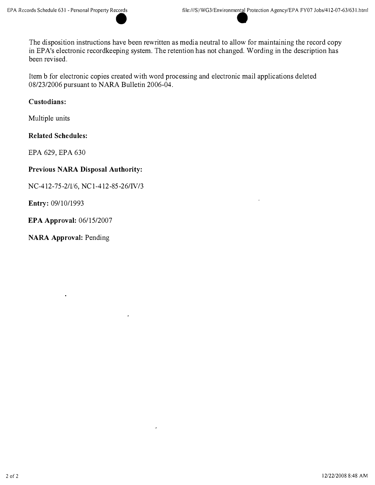The disposition instructions have been rewritten as media neutral to allow for maintaining the record copy in EPA's electronic recordkeeping system. The retention has not changed. Wording in the description has been revised.

Item b for electronic copies created with word processing and electronic mail applications deleted 08/23/2006 pursuant to NARA Bulletin 2006-04.

### **Custodians:**

Multiple units

**Related Schedules:** 

EPA 629, EPA 630

### **Previous NARA Disposal Authority:**

NC-412-75-2/V6, NCl-412-85-26/IV /3

**Entry:** 09/10/1993

**EPA Approval:** 06/15/2007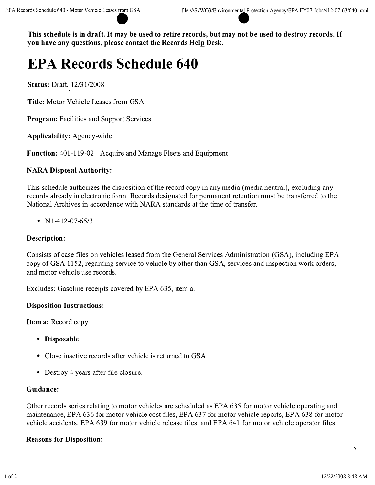# **EPA Records Schedule 640**

**Status:** Draft, 12/31/2008

**Title:** Motor Vehicle Leases from GSA

**Program:** Facilities and Support Services

**Applicability:** Agency-wide

**Function:** 401-119-02 - Acquire and Manage Fleets and Equipment

### **NARA Disposal Authority:**

This schedule authorizes the disposition of the record copy in any media (media neutral), excluding any records already in electronic form. Records designated for permanent retention must be transferred to the National Archives in accordance with NARA standards at the time of transfer.

•  $N1-412-07-65/3$ 

### **Description:**

Consists of case files on vehicles leased from the General Services Administration (GSA), including EPA copy of GSA 1152, regarding service to vehicle by other than GSA, services and inspection work orders, and motor vehicle use records.

Excludes: Gasoline receipts covered by EPA 635, item a.

### **Disposition Instructions:**

**Item a:** Record copy

- **Disposable**
- Close inactive records after vehicle is returned to GSA.
- Destroy 4 years after file closure.

### **Guidance:**

Other records series relating to motor vehicles are scheduled as EPA 635 for motor vehicle operating and maintenance, EPA 636 for motor vehicle cost files, EPA 637 for motor vehicle reports, EPA 638 for motor vehicle accidents, EPA 639 for motor vehicle release files, and EPA 641 for motor vehicle operator files.

### **Reasons for Disposition:**

 $\ddot{\phantom{0}}$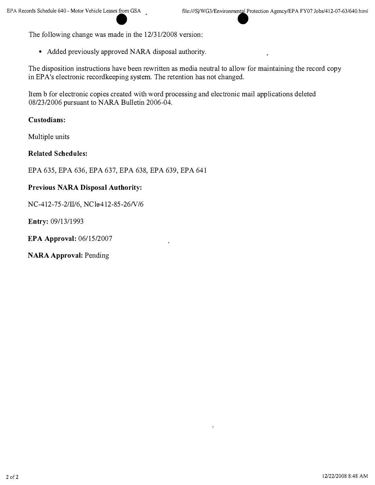The following change was made in the 12/31/2008 version:

• Added previously approved NARA disposal authority.

The disposition instructions have been rewritten as media neutral to allow for maintaining the record copy in EPA's electronic recordkeeping system. The retention has not changed.

Item b for electronic copies created with word processing and electronic mail applications deleted 08/23/2006 pursuant to NARA Bulletin 2006-04.

### **Custodians:**

Multiple units

### **Related Schedules:**

EPA 635, EPA 636, EPA 637, EPA 638, EPA 639, EPA 641

### **Previous NARA Disposal Authority:**

NC-412-75-2/II/6, NCle412-85-26/V/6

**Entry:** 09/13/1993

**EPA Approval:** 06/15/2007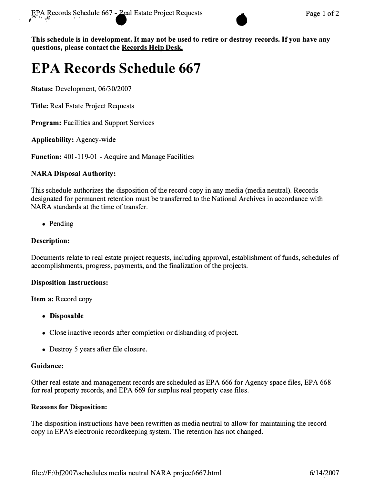

**This schedule is in development. It may not be used to retire or destroy records. If you have any**  questions, please contact the **Records Help Desk.** 

# **EPA Records Schedule 667**

**Status:** Development, 06/30/2007

**Title:** Real Estate Project Requests

**Program:** Facilities and Support Services

**Applicability:** Agency-wide

**Function:** 401-119-01 - Acquire and Manage Facilities

### **NARA Disposal Authority:**

This schedule authorizes the disposition of the record copy in any media (media neutral). Records designated for permanent retention must be transferred to the National Archives in accordance with NARA standards at the time of transfer.

• Pending

### **Description:**

Documents relate to real estate project requests, including approval, establishment of funds, schedules of accomplishments, progress, payments, and the finalization of the projects.

### **Disposition Instructions:**

**Item a:** Record copy

- **Disposable**
- Close inactive records after completion or disbanding of project.
- Destroy 5 years after file closure.

### **Guidance:**

Other real estate and management records are scheduled as EPA 666 for Agency space files, EPA 668 for real property records, and EPA 669 for surplus real property case files.

### **Reasons for Disposition:**

The disposition instructions have been rewritten as media neutral to allow for maintaining the record copy in EP A's electronic recordkeeping system. The retention has not changed.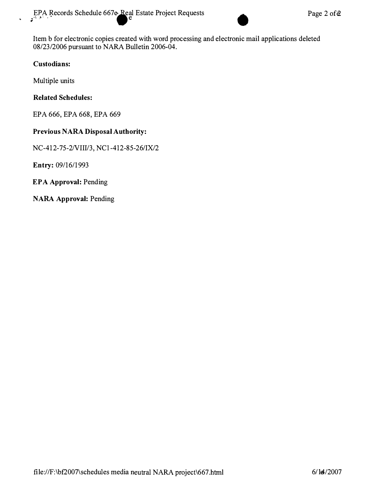Item b for electronic copies created with word processing and electronic mail applications deleted 08/23/2006 pursuant to NARA Bulletin 2006-04.

### **Custodians:**

Multiple units

# **Related Schedules:**

EPA 666, EPA 668, EPA 669

### **Previous NARA Disposal Authority:**

NC-412-75-2NIII/3, NCl-412-85-26/IX/2

**Entry:** 09/16/1993

**EPA Approval:** Pending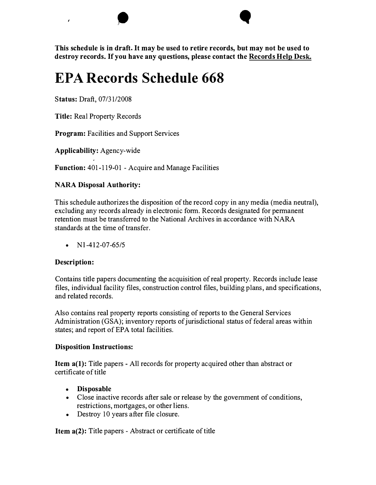# **EPA Records Schedule 668**

 $\bullet$ 

**Status:** Draft, 07 /31/2008

 $\epsilon$ 

**Title:** Real Property Records

**Program:** Facilities and Support Services

**Applicability:** Agency-wide

**Function:** 401-119-01 - Acquire and Manage Facilities

# **NARA Disposal Authority:**

This schedule authorizes the disposition of the record copy in any media (media neutral), excluding any records already in electronic form. Records designated for permanent retention must be transferred to the National Archives in accordance with NARA standards at the time of transfer.

•  $NI-412-07-65/5$ 

# **Description:**

Contains title papers documenting the acquisition of real property. Records include lease files, individual facility files, construction control files, building plans, and specifications, and related records.

Also contains real property reports consisting of reports to the General Services Administration (GSA); inventory reports of jurisdictional status of federal areas within states; and report of EPA total facilities.

# **Disposition Instructions:**

**Item a(1):** Title papers - All records for property acquired other than abstract or certificate of title

- **Disposable**
- Close inactive records after sale or release by the government of conditions, restrictions, mortgages, or other liens.
- Destroy 10 years after file closure.

**Item a(2):** Title papers - Abstract or certificate of title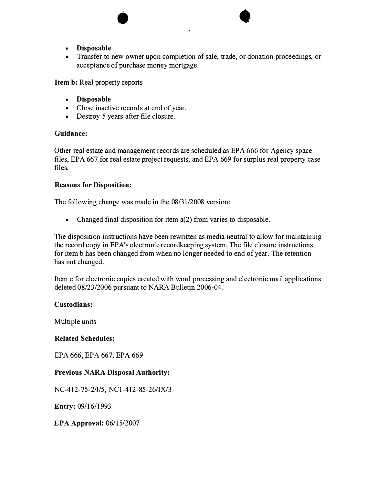- **Disposable**
- Transfer to new owner upon completion of sale, trade, or donation proceedings, or acceptance of purchase money mortgage.

 $\bullet$ 

**Item b:** Real property reports

- **Disposable**
- Close inactive records at end of year.
- Destroy 5 years after file closure.

### **Guidance:**

Other real estate and management records are scheduled as EPA 666 for Agency space files, EPA 667 for real estate project requests, and EPA 669 for surplus real property case files.

### **Reasons for Disposition:**

The following change was made in the 08/31/2008 version:

• Changed final disposition for item a(2) from varies to disposable.

The disposition instructions have been rewritten as media neutral to allow for maintaining the record copy in EPA's electronic record keeping system. The file closure instructions for item b has been changed from when no longer needed to end of year. The retention has not changed.

Item c for electronic copies created with word processing and electronic mail applications deleted 08/23/2006 pursuant to NARA Bulletin 2006-04.

### **Custodians:**

Multiple units

### **Related Schedules:**

EPA 666, EPA 667, EPA 669

### **Previous NARA Disposal Authority:**

NC-412-75-2/1/5, NC 1-412-85-26/IX/3

**Entry:** 09/16/1993

**EPA Approval:** 06/15/2007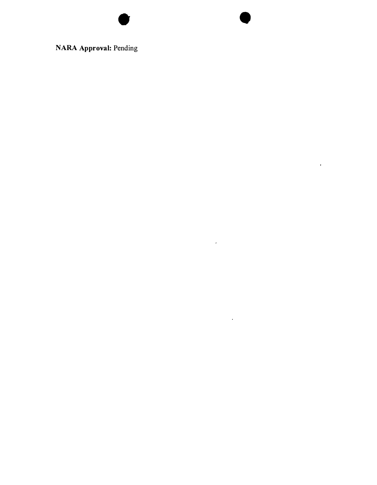**NARA Approval:** Pending

•

 $\mathcal{L}(\mathcal{A})$  and  $\mathcal{L}(\mathcal{A})$ 

 $\mathcal{L}(\mathcal{A})$  and  $\mathcal{L}(\mathcal{A})$  .

 $\mathbf{F}$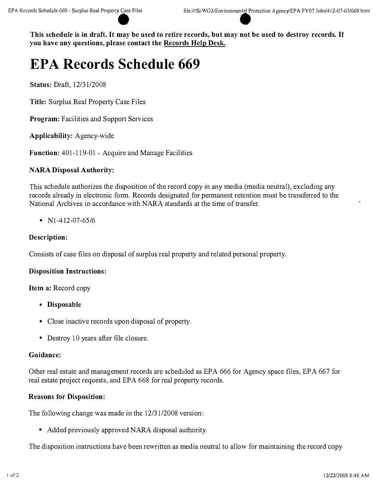# **EPA Records Schedule 669**

**Status:** Draft, 12/31/2008

**Title:** Surplus Real Property Case Files

**Program:** Facilities and Support Services

**Applicability:** Agency-wide

**Function:** 401-119-01 - Acquire and Manage Facilities

### **NARA Disposal Authority:**

This schedule authorizes the disposition of the record copy in any media (media neutral), excluding any records already in electronic form. Records designated for permanent retention must be transferred to the National Archives in accordance with NARA standards at the time of transfer.

•  $N1-412-07-65/6$ 

### **Description:**

Consists of case files on disposal of surplus real property and related personal property.

### **Disposition Instructions:**

### **Item a:** Record copy

- **Disposable**
- Close inactive records upon disposal of property.
- Destroy 10 years after file closure.

### **Guidance:**

Other real estate and management records are scheduled as EPA 666 for Agency space files, EPA 667 for real estate project requests, and EPA 668 for real property records.

### **Reasons for Disposition:**

The following change was made in the 12/31/2008 version:

• Added previously approved NARA disposal authority.

The disposition instructions have been rewritten as media neutral to allow for maintaining the record copy